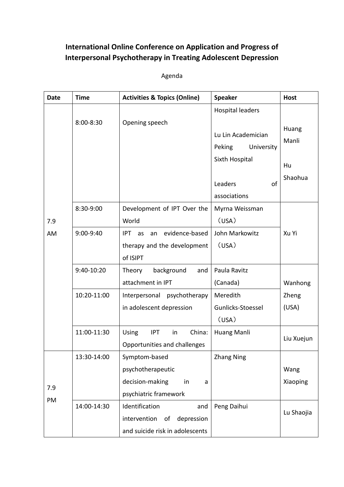## **International Online Conference on Application and Progress of Interpersonal Psychotherapy in Treating Adolescent Depression**

Agenda

| <b>Date</b> | <b>Time</b> | <b>Activities &amp; Topics (Online)</b>                                                      | <b>Speaker</b>                                                                          | <b>Host</b>                     |
|-------------|-------------|----------------------------------------------------------------------------------------------|-----------------------------------------------------------------------------------------|---------------------------------|
| 7.9<br>AM   | 8:00-8:30   | Opening speech                                                                               | <b>Hospital leaders</b><br>Lu Lin Academician<br>Peking<br>University<br>Sixth Hospital | Huang<br>Manli<br>Hu<br>Shaohua |
|             |             |                                                                                              | of<br>Leaders<br>associations                                                           |                                 |
|             | 8:30-9:00   | Development of IPT Over the<br>World                                                         | Myrna Weissman<br>(USA)                                                                 |                                 |
|             | 9:00-9:40   | evidence-based<br>IPT as<br>an<br>therapy and the development<br>of ISIPT                    | John Markowitz<br>(USA)                                                                 | Xu Yi                           |
|             | 9:40-10:20  | background<br>Theory<br>and<br>attachment in IPT                                             | Paula Ravitz<br>(Canada)                                                                | Wanhong                         |
|             | 10:20-11:00 | psychotherapy<br>Interpersonal<br>in adolescent depression                                   | Meredith<br>Gunlicks-Stoessel<br>(USA)                                                  | Zheng<br>(USA)                  |
|             | 11:00-11:30 | Using<br><b>IPT</b><br>China:<br>in<br>Opportunities and challenges                          | Huang Manli                                                                             | Liu Xuejun                      |
| 7.9<br>PM   | 13:30-14:00 | Symptom-based<br>psychotherapeutic<br>decision-making<br>in<br>a<br>psychiatric framework    | <b>Zhang Ning</b>                                                                       | Wang<br>Xiaoping                |
|             | 14:00-14:30 | Identification<br>and<br>depression<br>intervention<br>οf<br>and suicide risk in adolescents | Peng Daihui                                                                             | Lu Shaojia                      |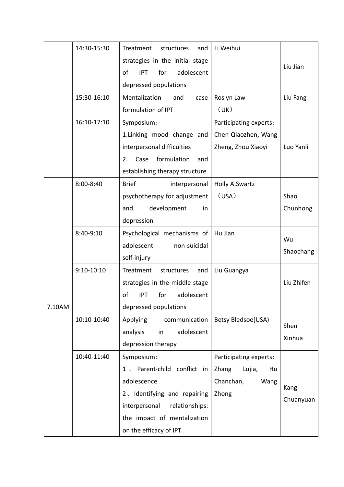|        | 14:30-15:30  | Treatment<br>structures<br>and        | Li Weihui              |                |
|--------|--------------|---------------------------------------|------------------------|----------------|
|        |              | strategies in the initial stage       |                        |                |
|        |              | for<br>adolescent<br>of<br><b>IPT</b> |                        | Liu Jian       |
|        |              | depressed populations                 |                        |                |
|        | 15:30-16:10  | Mentalization<br>and<br>case          | Roslyn Law             | Liu Fang       |
|        |              | formulation of IPT                    | (UK)                   |                |
|        | 16:10-17:10  | Symposium:                            | Participating experts: |                |
|        |              | 1. Linking mood change and            | Chen Qiaozhen, Wang    |                |
|        |              | interpersonal difficulties            | Zheng, Zhou Xiaoyi     | Luo Yanli      |
|        |              | formulation<br>Case<br>2.<br>and      |                        |                |
|        |              | establishing therapy structure        |                        |                |
|        | 8:00-8:40    | <b>Brief</b><br>interpersonal         | <b>Holly A.Swartz</b>  |                |
|        |              | psychotherapy for adjustment          | (USA)                  | Shao           |
|        |              | development<br>and<br>in              |                        | Chunhong       |
|        |              | depression                            |                        |                |
|        | 8:40-9:10    | Psychological mechanisms of           | Hu Jian                | Wu             |
|        |              | adolescent<br>non-suicidal            |                        |                |
|        |              | self-injury                           |                        | Shaochang      |
|        | $9:10-10:10$ | Treatment<br>structures<br>and        | Liu Guangya            |                |
|        |              | strategies in the middle stage        |                        | Liu Zhifen     |
|        |              | of<br>adolescent<br>for<br><b>IPT</b> |                        |                |
| 7.10AM |              | depressed populations                 |                        |                |
|        | 10:10-10:40  | Applying<br>communication             | Betsy Bledsoe(USA)     |                |
|        |              | adolescent<br>analysis<br>in          |                        | Shen<br>Xinhua |
|        |              | depression therapy                    |                        |                |
|        | 10:40-11:40  | Symposium:                            | Participating experts: |                |
|        |              | Parent-child conflict in<br>$1 \sim$  | Zhang<br>Lujia,<br>Hu  |                |
|        |              | adolescence                           | Chanchan,<br>Wang      | Kang           |
|        |              | 2. Identifying and repairing          | Zhong                  | Chuanyuan      |
|        |              | interpersonal<br>relationships:       |                        |                |
|        |              | the impact of mentalization           |                        |                |
|        |              | on the efficacy of IPT                |                        |                |